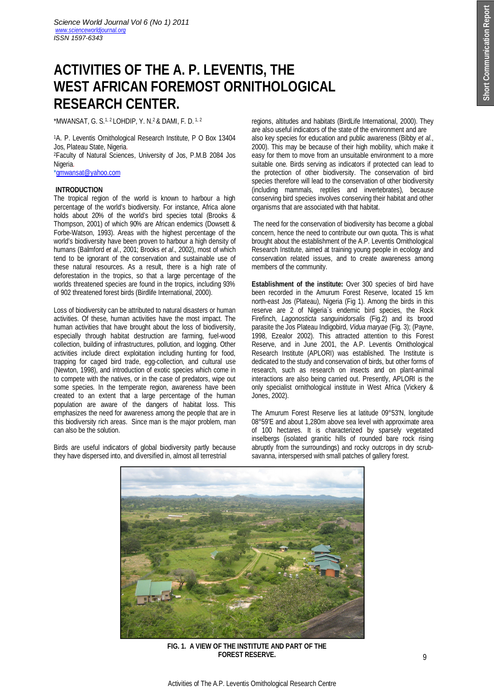# **ACTIVITIES OF THE A. P. LEVENTIS, THE WEST AFRICAN FOREMOST ORNITHOLOGICAL RESEARCH CENTER.**

\*MWANSAT, G. S.1, 2 LOHDIP, Y. N.<sup>2</sup> & DAMI, F. D. 1, 2

<sup>1</sup>A. P. Leventis Ornithological Research Institute, P O Box 13404 Jos, Plateau State, Nigeria.

<sup>2</sup>Faculty of Natural Sciences, University of Jos, P.M.B 2084 Jos Nigeria.

\*gmwansat@yahoo.com

## **INTRODUCTION**

The tropical region of the world is known to harbour a high percentage of the world's biodiversity. For instance, Africa alone holds about 20% of the world's bird species total (Brooks & Thompson, 2001) of which 90% are African endemics (Dowsett & Forbe-Watson, 1993). Areas with the highest percentage of the world's biodiversity have been proven to harbour a high density of humans (Balmford *et al*., 2001; Brooks *et al*., 2002), most of which tend to be ignorant of the conservation and sustainable use of these natural resources. As a result, there is a high rate of deforestation in the tropics, so that a large percentage of the worlds threatened species are found in the tropics, including 93% of 902 threatened forest birds (Birdlife International, 2000).

Loss of biodiversity can be attributed to natural disasters or human activities. Of these, human activities have the most impact. The human activities that have brought about the loss of biodiversity, especially through habitat destruction are farming, fuel-wood collection, building of infrastructures, pollution, and logging. Other activities include direct exploitation including hunting for food, trapping for caged bird trade, egg-collection, and cultural use (Newton, 1998), and introduction of exotic species which come in to compete with the natives, or in the case of predators, wipe out some species. In the temperate region, awareness have been created to an extent that a large percentage of the human population are aware of the dangers of habitat loss. This emphasizes the need for awareness among the people that are in this biodiversity rich areas. Since man is the major problem, man can also be the solution.

Birds are useful indicators of global biodiversity partly because they have dispersed into, and diversified in, almost all terrestrial

regions, altitudes and habitats (BirdLife International, 2000). They are also useful indicators of the state of the environment and are also key species for education and public awareness (Bibby *et al*., 2000). This may be because of their high mobility, which make it easy for them to move from an unsuitable environment to a more suitable one. Birds serving as indicators if protected can lead to the protection of other biodiversity. The conservation of bird species therefore will lead to the conservation of other biodiversity (including mammals, reptiles and invertebrates), because conserving bird species involves conserving their habitat and other organisms that are associated with that habitat.

The need for the conservation of biodiversity has become a global concern, hence the need to contribute our own quota. This is what brought about the establishment of the A.P. Leventis Ornithological Research Institute, aimed at training young people in ecology and conservation related issues, and to create awareness among members of the community.

**Establishment of the institute:** Over 300 species of bird have been recorded in the Amurum Forest Reserve, located 15 km north-east Jos (Plateau), Nigeria (Fig 1). Among the birds in this reserve are 2 of Nigeria`s endemic bird species, the Rock Firefinch, *Lagonosticta sanguinidorsalis* (Fig.2) and its brood parasite the Jos Plateau Indigobird, *Vidua maryae* (Fig. 3); (Payne, 1998, Ezealor 2002). This attracted attention to this Forest Reserve, and in June 2001, the A.P. Leventis Ornithological Research Institute (APLORI) was established. The Institute is dedicated to the study and conservation of birds, but other forms of research, such as research on insects and on plant-animal interactions are also being carried out. Presently, APLORI is the only specialist ornithological institute in West Africa (Vickery & Jones, 2002).

The Amurum Forest Reserve lies at latitude 09°53'N, longitude 08°59'E and about 1,280m above sea level with approximate area of 100 hectares. It is characterized by sparsely vegetated inselbergs (isolated granitic hills of rounded bare rock rising abruptly from the surroundings) and rocky outcrops in dry scrubsavanna, interspersed with small patches of gallery forest.



**FIG. 1. A VIEW OF THE INSTITUTE AND PART OF THE FOREST RESERVE.** 9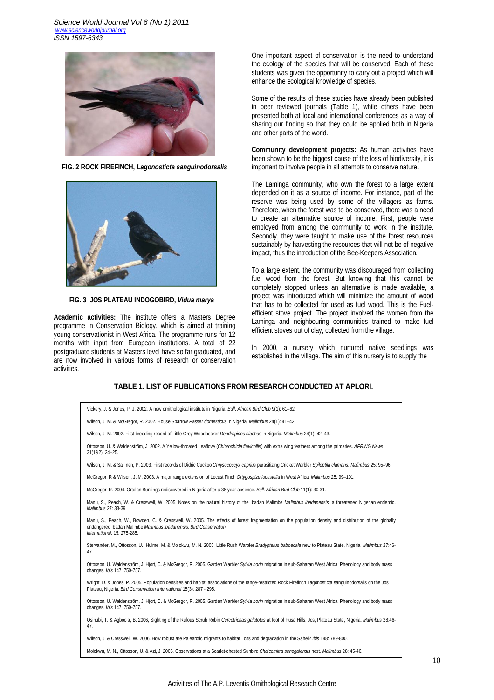

**FIG. 2 ROCK FIREFINCH,** *Lagonosticta sanguinodorsalis*



 **FIG. 3 JOS PLATEAU INDOGOBIRD,** *Vidua marya*

**Academic activities:** The institute offers a Masters Degree programme in Conservation Biology, which is aimed at training young conservationist in West Africa. The programme runs for 12 months with input from European institutions. A total of 22 postgraduate students at Masters level have so far graduated, and are now involved in various forms of research or conservation activities.

One important aspect of conservation is the need to understand the ecology of the species that will be conserved. Each of these students was given the opportunity to carry out a project which will enhance the ecological knowledge of species.

Some of the results of these studies have already been published in peer reviewed journals (Table 1), while others have been presented both at local and international conferences as a way of sharing our finding so that they could be applied both in Nigeria and other parts of the world.

**Community development projects:** As human activities have been shown to be the biggest cause of the loss of biodiversity, it is important to involve people in all attempts to conserve nature.

The Laminga community, who own the forest to a large extent depended on it as a source of income. For instance, part of the reserve was being used by some of the villagers as farms. Therefore, when the forest was to be conserved, there was a need to create an alternative source of income. First, people were employed from among the community to work in the institute. Secondly, they were taught to make use of the forest resources sustainably by harvesting the resources that will not be of negative impact, thus the introduction of the Bee-Keepers Association.

To a large extent, the community was discouraged from collecting fuel wood from the forest. But knowing that this cannot be completely stopped unless an alternative is made available, a project was introduced which will minimize the amount of wood that has to be collected for used as fuel wood. This is the Fuelefficient stove project. The project involved the women from the Laminga and neighbouring communities trained to make fuel efficient stoves out of clay, collected from the village.

In 2000, a nursery which nurtured native seedlings was established in the village. The aim of this nursery is to supply the

## **TABLE 1. LIST OF PUBLICATIONS FROM RESEARCH CONDUCTED AT APLORI.**

| Vickery, J. & Jones, P. J. 2002. A new ornithological institute in Nigeria. Bull. African Bird Club 9(1): 61–62.                                                                                                                                         |
|----------------------------------------------------------------------------------------------------------------------------------------------------------------------------------------------------------------------------------------------------------|
| Wilson, J. M. & McGregor, R. 2002. House Sparrow Passer domesticus in Nigeria. Malimbus 24(1): 41-42.                                                                                                                                                    |
| Wilson, J. M. 2002. First breeding record of Little Grey Woodpecker Dendropicos elachus in Nigeria. Malimbus 24(1): 42-43.                                                                                                                               |
| Ottosson, U. & Waldenström, J. 2002. A Yellow-throated Leaflove (Chlorochicla flavicollis) with extra wing feathers among the primaries. AFRING News<br>$31(1&2): 24-25.$                                                                                |
| Wilson, J. M. & Sallinen, P. 2003. First records of Didric Cuckoo Chrysococcyx caprius parasitizing Cricket Warbler Spiloptila clamans. Malimbus 25: 95-96.                                                                                              |
| McGregor, R & Wilson, J. M. 2003. A major range extension of Locust Finch Ortygospize locustella in West Africa. Malimbus 25: 99-101.                                                                                                                    |
| McGregor, R. 2004. Ortolan Buntings rediscovered in Nigeria after a 38 year absence. Bull. African Bird Club 11(1): 30-31.                                                                                                                               |
| Manu, S., Peach, W. & Cresswell, W. 2005. Notes on the natural history of the Ibadan Malimbe Malimbus ibadanensis, a threatened Nigerian endemic.<br>Malimbus 27: 33-39.                                                                                 |
| Manu, S., Peach, W., Bowden, C. & Cresswell, W. 2005. The effects of forest fragmentation on the population density and distribution of the globally<br>endangered Ibadan Malimbe Malimbus ibadanensis. Bird Conservation<br>International, 15: 275-285. |
| Stervander, M., Ottosson, U., Hulme, M. & Molokwu, M. N. 2005. Little Rush Warbler Bradypterus baboecala new to Plateau State, Nigeria. Malimbus 27:46-<br>47.                                                                                           |
| Ottosson, U. Waldenström, J. Hjort, C. & McGregor, R. 2005. Garden Warbler Sylvia borin migration in sub-Saharan West Africa: Phenology and body mass<br>changes. Ibis 147: 750-757.                                                                     |
| Wright, D. & Jones, P. 2005. Population densities and habitat associations of the range-restricted Rock Firefinch Lagonosticta sanguinodorsalis on the Jos<br>Plateau, Nigeria. Bird Conservation International 15(3): 287 - 295.                        |
| Ottosson, U. Waldenström, J. Hjort, C. & McGregor, R. 2005. Garden Warbler Sylvia borin migration in sub-Saharan West Africa: Phenology and body mass<br>changes. Ibis 147: 750-757.                                                                     |
| Osinubi, T. & Agboola, B. 2006, Sighting of the Rufous Scrub Robin Cercotrichas galatotes at foot of Fusa Hills, Jos, Plateau State, Nigeria. Malimbus 28:46-<br>47.                                                                                     |
| Wilson, J. & Cresswell, W. 2006. How robust are Palearctic migrants to habitat Loss and degradation in the Sahel? Ibis 148: 789-800.                                                                                                                     |
| Molokwu, M. N., Ottosson, U. & Azi, J. 2006. Observations at a Scarlet-chested Sunbird Chalcomitra senegalensis nest. Malimbus 28: 45-46.                                                                                                                |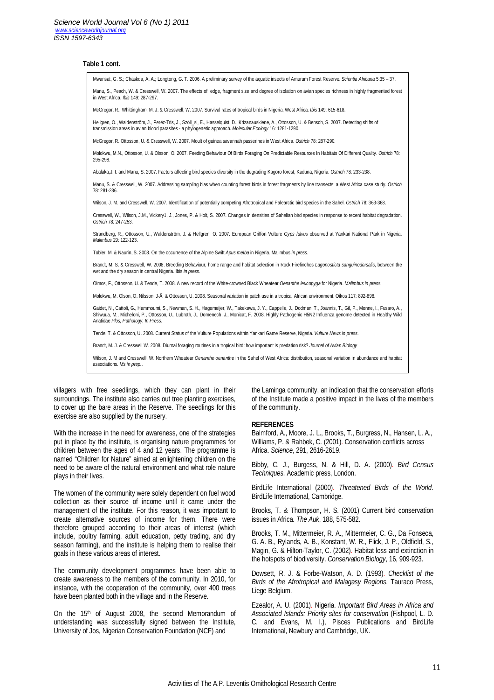### **Table 1 cont.**

| Mwansat, G. S.; Chaskda, A. A.; Longtong, G. T. 2006. A preliminary survey of the aquatic insects of Amurum Forest Reserve. Scientia Africana 5:35 - 37.                                                                                                                                                                                                        |
|-----------------------------------------------------------------------------------------------------------------------------------------------------------------------------------------------------------------------------------------------------------------------------------------------------------------------------------------------------------------|
| Manu, S., Peach, W. & Cresswell, W. 2007. The effects of edge, fragment size and degree of isolation on avian species richness in highly fragmented forest<br>in West Africa. Ibis 149: 287-297.                                                                                                                                                                |
| McGregor, R., Whittingham, M. J. & Cresswell, W. 2007. Survival rates of tropical birds in Nigeria, West Africa. Ibis 149: 615-618.                                                                                                                                                                                                                             |
| Hellgren, O., Waldenström, J., Peréz-Tris, J., Szöll_si, E., Hasselguist, D., Krizanauskiene, A., Ottosson, U. & Bensch, S. 2007. Detecting shifts of<br>transmission areas in avian blood parasites - a phylogenetic approach. Molecular Ecology 16: 1281-1290.                                                                                                |
| McGregor, R. Ottosson, U. & Cresswell, W. 2007. Moult of guinea savannah passerines in West Africa. Ostrich 78: 287-290.                                                                                                                                                                                                                                        |
| Molokwu, M.N., Ottosson, U. & Olsson, O. 2007. Feeding Behaviour Of Birds Foraging On Predictable Resources In Habitats Of Different Quality. Ostrich 78:<br>295-298.                                                                                                                                                                                           |
| Abalaka, J. I. and Manu, S. 2007. Factors affecting bird species diversity in the degrading Kagoro forest, Kaduna, Nigeria. Ostrich 78: 233-238.                                                                                                                                                                                                                |
| Manu, S. & Cresswell, W. 2007. Addressing sampling bias when counting forest birds in forest fragments by line transects: a West Africa case study. Ostrich<br>78: 281-286.                                                                                                                                                                                     |
| Wilson, J. M. and Cresswell, W. 2007. Identification of potentially competing Afrotropical and Palearctic bird species in the Sahel. Ostrich 78: 363-368.                                                                                                                                                                                                       |
| Cresswell, W., Wilson, J.M., Vickery1, J., Jones, P. & Holt, S. 2007. Changes in densities of Sahelian bird species in response to recent habitat degradation.<br>Ostrich 78: 247-253.                                                                                                                                                                          |
| Strandberg, R., Ottosson, U., Waldenström, J. & Hellgren, O. 2007. European Griffon Vulture Gyps fulvus observed at Yankari National Park in Nigeria.<br>Malimbus 29: 122-123.                                                                                                                                                                                  |
| Tobler, M. & Naurin, S. 2008. On the occurrence of the Alpine Swift Apus melba in Nigeria. Malimbus in press.                                                                                                                                                                                                                                                   |
| Brandt, M. S. & Cresswell, W. 2008. Breeding Behaviour, home range and habitat selection in Rock Firefinches Lagonosticta sanguinodorsalis, between the<br>wet and the dry season in central Nigeria. Ibis in press.                                                                                                                                            |
| Olmos, F., Ottosson, U. & Tende, T. 2008. A new record of the White-crowned Black Wheatear Oenanthe leucopyga for Nigeria. Malimbus in press.                                                                                                                                                                                                                   |
| Molokwu, M. Olson, O. Nilsson, J-Å. & Ottosson, U. 2008. Seasonal variation in patch use in a tropical African environment. Oikos 117: 892-898.                                                                                                                                                                                                                 |
| Gaidet, N., Cattoli, G., Hammoumi, S., Newman, S. H., Hagemeijer, W., Takekawa, J. Y., Cappelle, J., Dodman, T., Joannis, T., Gil, P., Monne, I., Fusaro, A.,<br>Shiwuua, M., Micheloni, P., Ottosson, U., Lubroth, J., Domenech, J., Monicat, F. 2008. Highly Pathogenic H5N2 Influenza genome detected in Healthy Wild<br>Anatidae Plos, Pathology, In Press. |
| Tende, T. & Ottosson, U. 2008. Current Status of the Vulture Populations within Yankari Game Reserve, Nigeria. Vulture News in press.                                                                                                                                                                                                                           |
| Brandt, M. J. & Cresswell W. 2008. Diurnal foraging routines in a tropical bird: how important is predation risk? Journal of Avian Biology                                                                                                                                                                                                                      |
| Wilson, J. M and Cresswell, W. Northern Wheatear <i>Oenanthe oenanthe</i> in the Sahel of West Africa: distribution, seasonal variation in abundance and habitat<br>associations. Ms in prep                                                                                                                                                                    |

villagers with free seedlings, which they can plant in their surroundings. The institute also carries out tree planting exercises, to cover up the bare areas in the Reserve. The seedlings for this exercise are also supplied by the nursery.

With the increase in the need for awareness, one of the strategies put in place by the institute, is organising nature programmes for children between the ages of 4 and 12 years. The programme is named "Children for Nature" aimed at enlightening children on the need to be aware of the natural environment and what role nature plays in their lives.

The women of the community were solely dependent on fuel wood collection as their source of income until it came under the management of the institute. For this reason, it was important to create alternative sources of income for them. There were therefore grouped according to their areas of interest (which include, poultry farming, adult education, petty trading, and dry season farming), and the institute is helping them to realise their goals in these various areas of interest.

The community development programmes have been able to create awareness to the members of the community. In 2010, for instance, with the cooperation of the community, over 400 trees have been planted both in the village and in the Reserve.

On the 15th of August 2008, the second Memorandum of understanding was successfully signed between the Institute, University of Jos, Nigerian Conservation Foundation (NCF) and

the Laminga community, an indication that the conservation efforts of the Institute made a positive impact in the lives of the members of the community.

### **REFERENCES**

Balmford, A., Moore, J. L., Brooks, T., Burgress, N., Hansen, L. A., Williams, P. & Rahbek, C. (2001). Conservation conflicts across Africa. *Science*, 291, 2616-2619.

Bibby, C. J., Burgess, N. & Hill, D. A. (2000). *Bird Census Techniques.* Academic press, London.

BirdLife International (2000). *Threatened Birds of the World*. BirdLife International, Cambridge.

Brooks, T. & Thompson, H. S. (2001) Current bird conservation issues in Africa*. The Auk*, 188, 575-582.

Brooks, T. M., Mittermeier, R. A., Mittermeier, C. G., Da Fonseca, G. A. B., Rylands, A. B., Konstant, W. R., Flick, J. P., Oldfield, S., Magin, G. & Hilton-Taylor, C. (2002). Habitat loss and extinction in the hotspots of biodiversity. *Conservation Biology*, 16, 909-923.

Dowsett, R. J. & Forbe-Watson, A. D. (1993). *Checklist of the Birds of the Afrotropical and Malagasy Regions*. Tauraco Press, Liege Belgium.

Ezealor, A. U. (2001). Nigeria. *Important Bird Areas in Africa and Associated Islands: Priority sites for conservation* (Fishpool, L. D. C. and Evans, M. I.), Pisces Publications and BirdLife International, Newbury and Cambridge, UK.